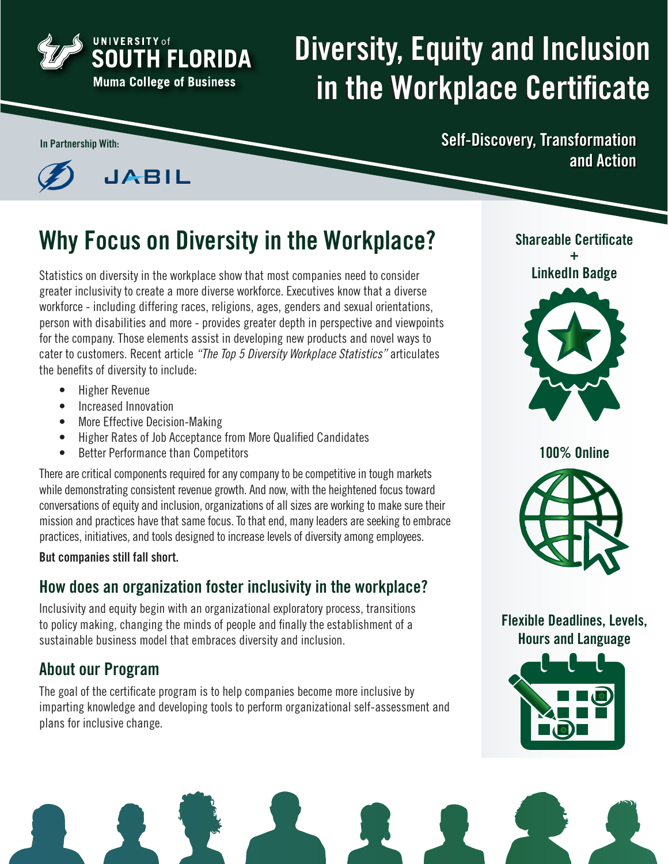

# Diversity, Equity and Inclusion in the Workplace Certificate



**JABIL** 

## Why Focus on Diversity in the Workplace?

Statistics on diversity in the workplace show that most companies need to consider greater inclusivity to create a more diverse workforce. Executives know that a diverse workforce - including differing races, religions, ages, genders and sexual orientations, person with disabilities and more - provides greater depth in perspective and viewpoints for the company. Those elements assist in developing new products and novel ways to cater to customers. Recent article *"The Top 5 Diversity Workplace Statistics"* articulates the benefits of diversity to include:

- Higher Revenue
- Increased Innovation
- More Effective Decision-Making
- Higher Rates of Job Acceptance from More Qualified Candidates
- Better Performance than Competitors

There are critical components required for any company to be competitive in tough markets while demonstrating consistent revenue growth. And now, with the heightened focus toward conversations of equity and inclusion, organizations of all sizes are working to make sure their mission and practices have that same focus. To that end, many leaders are seeking to embrace practices, initiatives, and tools designed to increase levels of diversity among employees.

But companies still fall short.

### How does an organization foster inclusivity in the workplace?

Inclusivity and equity begin with an organizational exploratory process, transitions to policy making, changing the minds of people and finally the establishment of a sustainable business model that embraces diversity and inclusion.

### About our Program

The goal of the certificate program is to help companies become more inclusive by imparting knowledge and developing tools to perform organizational self-assessment and plans for inclusive change.

In Partnership With: Self-Discovery, Transformation and Action



Shareable Certificate

100% Online



Flexible Deadlines, Levels, Hours and Language